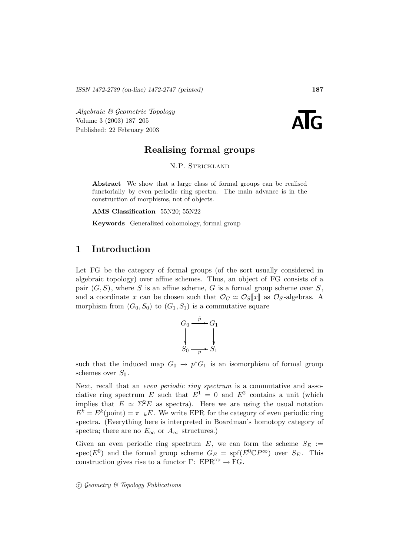Algebraic & Geometric Topology<br>
Volume 3 (2003) 187–205<br>
Published: 22 February 2003 Volume 3 (2003) 187–205

# **Realising formal groups**

N.P. Strickland

**Abstract** We show that a large class of formal groups can be realised functorially by even periodic ring spectra. The main advance is in the construction of morphisms, not of objects.

**AMS Classification** 55N20; 55N22

**Keywords** Generalized cohomology, formal group

# **1 Introduction**

Let FG be the category of formal groups (of the sort usually considered in algebraic topology) over affine schemes. Thus, an object of FG consists of a pair  $(G, S)$ , where S is an affine scheme, G is a formal group scheme over S, and a coordinate x can be chosen such that  $\mathcal{O}_G \simeq \mathcal{O}_S[x]$  as  $\mathcal{O}_S$ -algebras. A morphism from  $(G_0, S_0)$  to  $(G_1, S_1)$  is a commutative square

$$
G_0 \xrightarrow{\tilde{p}} G_1
$$
  
\n
$$
S_0 \xrightarrow{\tilde{p}} S_1
$$

such that the induced map  $G_0 \to p^*G_1$  is an isomorphism of formal group schemes over  $S_0$ .

Next, recall that an *even periodic ring spectrum* is a commutative and associative ring spectrum E such that  $E^1 = 0$  and  $E^2$  contains a unit (which implies that  $E \simeq \Sigma^2 E$  as spectra). Here we are using the usual notation  $E^k = E^k$ (point) =  $\pi_{-k}E$ . We write EPR for the category of even periodic ring spectra. (Everything here is interpreted in Boardman's homotopy category of spectra; there are no  $E_{\infty}$  or  $A_{\infty}$  structures.)

Given an even periodic ring spectrum E, we can form the scheme  $S_E :=$  $spec(E^0)$  and the formal group scheme  $G_E = spf(E^0 \mathbb{C} P^{\infty})$  over  $S_E$ . This construction gives rise to a functor  $\Gamma: EPR^{op} \to FG$ .

 $\odot$  Geometry & Topology Publications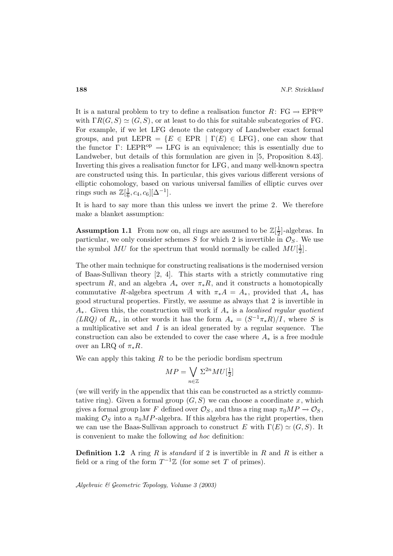It is a natural problem to try to define a realisation functor  $R: FG \to EPR^{op}$ with  $\Gamma R(G, S) \simeq (G, S)$ , or at least to do this for suitable subcategories of FG. For example, if we let LFG denote the category of Landweber exact formal groups, and put LEPR =  ${E \in EPR | \Gamma(E) \in LFG}$ , one can show that the functor  $\Gamma: \text{LEPR}^{\text{op}} \to \text{LFG}$  is an equivalence; this is essentially due to Landweber, but details of this formulation are given in [5, Proposition 8.43]. Inverting this gives a realisation functor for LFG, and many well-known spectra are constructed using this. In particular, this gives various different versions of elliptic cohomology, based on various universal families of elliptic curves over rings such as  $\mathbb{Z}[\frac{1}{6}, c_4, c_6][\Delta^{-1}].$ 

It is hard to say more than this unless we invert the prime 2. We therefore make a blanket assumption:

**Assumption 1.1** From now on, all rings are assumed to be  $\mathbb{Z}[\frac{1}{2}]$ -algebras. In particular, we only consider schemes S for which 2 is invertible in  $\mathcal{O}_S$ . We use the symbol  $MU$  for the spectrum that would normally be called  $MU[\frac{1}{2}]$ .

The other main technique for constructing realisations is the modernised version of Baas-Sullivan theory [2, 4]. This starts with a strictly commutative ring spectrum R, and an algebra  $A_*$  over  $\pi_*R$ , and it constructs a homotopically commutative R-algebra spectrum A with  $\pi_* A = A_*$ , provided that  $A_*$  has good structural properties. Firstly, we assume as always that 2 is invertible in  $A_{*}$ . Given this, the construction will work if  $A_{*}$  is a localised regular quotient (LRQ) of R<sub>\*</sub>, in other words it has the form  $A_* = (S^{-1}\pi_*R)/I$ , where S is a multiplicative set and  $I$  is an ideal generated by a regular sequence. The construction can also be extended to cover the case where  $A_*$  is a free module over an LRQ of  $\pi_*R$ .

We can apply this taking  $R$  to be the periodic bordism spectrum

$$
MP = \bigvee_{n \in \mathbb{Z}} \Sigma^{2n} MU[\tfrac{1}{2}]
$$

(we will verify in the appendix that this can be constructed as a strictly commutative ring). Given a formal group  $(G, S)$  we can choose a coordinate x, which gives a formal group law F defined over  $\mathcal{O}_S$ , and thus a ring map  $\pi_0 M P \to \mathcal{O}_S$ , making  $\mathcal{O}_S$  into a  $\pi_0 M P$ -algebra. If this algebra has the right properties, then we can use the Baas-Sullivan approach to construct E with  $\Gamma(E) \simeq (G, S)$ . It is convenient to make the following ad hoc definition:

**Definition 1.2** A ring R is *standard* if 2 is invertible in R and R is either a field or a ring of the form  $T^{-1}\mathbb{Z}$  (for some set T of primes).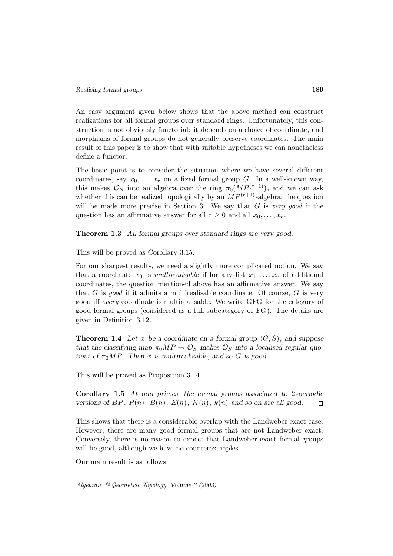An easy argument given below shows that the above method can construct realizations for all formal groups over standard rings. Unfortunately, this construction is not obviously functorial: it depends on a choice of coordinate, and morphisms of formal groups do not generally preserve coordinates. The main result of this paper is to show that with suitable hypotheses we can nonetheless define a functor.

The basic point is to consider the situation where we have several different coordinates, say  $x_0, \ldots, x_r$  on a fixed formal group G. In a well-known way, this makes  $\mathcal{O}_S$  into an algebra over the ring  $\pi_0(MP^{(r+1)})$ , and we can ask whether this can be realized topologically by an  $MP^{(r+1)}$ -algebra; the question will be made more precise in Section 3. We say that  $G$  is very good if the question has an affirmative answer for all  $r \geq 0$  and all  $x_0, \ldots, x_r$ .

**Theorem 1.3** *All formal groups over standard rings are very good.*

This will be proved as Corollary 3.15.

For our sharpest results, we need a slightly more complicated notion. We say that a coordinate  $x_0$  is *multirealisable* if for any list  $x_1, \ldots, x_r$  of additional coordinates, the question mentioned above has an affirmative answer. We say that G is good if it admits a multirealisable coordinate. Of course,  $G$  is very good iff every coordinate is multirealisable. We write GFG for the category of good formal groups (considered as a full subcategory of FG). The details are given in Definition 3.12.

**Theorem 1.4** Let x be a coordinate on a formal group  $(G, S)$ , and suppose *that the classifying map*  $\pi_0 M P \to \mathcal{O}_S$  *makes*  $\mathcal{O}_S$  *into a localised regular quotient of*  $\pi_0 MP$ *. Then* x *is multirealisable, and so G is good.* 

This will be proved as Proposition 3.14.

**Corollary 1.5** *At odd primes, the formal groups associated to* 2*-periodic versions of BP*,  $P(n)$ *,*  $B(n)$ *,*  $E(n)$ *,*  $K(n)$ *,*  $k(n)$  *and so on are all good.*  $\Box$ 

This shows that there is a considerable overlap with the Landweber exact case. However, there are many good formal groups that are not Landweber exact. Conversely, there is no reason to expect that Landweber exact formal groups will be good, although we have no counterexamples.

Our main result is as follows: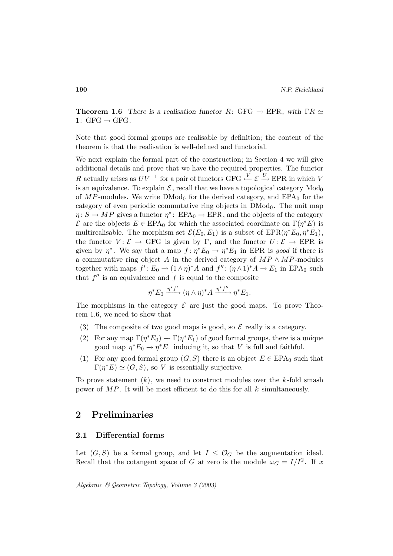**Theorem 1.6** *There is a realisation functor*  $R: GFG \rightarrow EPR$ *, with*  $\Gamma R \simeq$ 1:  $GFG \rightarrow GFG$ .

Note that good formal groups are realisable by definition; the content of the theorem is that the realisation is well-defined and functorial.

We next explain the formal part of the construction; in Section 4 we will give additional details and prove that we have the required properties. The functor R actually arises as  $UV^{-1}$  for a pair of functors GFG  $\stackrel{V}{\leftarrow} \mathcal{E} \stackrel{U}{\rightarrow} EPR$  in which V is an equivalence. To explain  $\mathcal{E}$ , recall that we have a topological category  $Mod_0$ of  $MP$ -modules. We write  $DMod<sub>0</sub>$  for the derived category, and  $EPA<sub>0</sub>$  for the category of even periodic commutative ring objects in  $\text{DMod}_0$ . The unit map  $\eta: S \to MP$  gives a functor  $\eta^*: EPA_0 \to EPR$ , and the objects of the category  $\mathcal E$  are the objects  $E \in EPA_0$  for which the associated coordinate on  $\Gamma(\eta^*E)$  is multirealisable. The morphism set  $\mathcal{E}(E_0, E_1)$  is a subset of  $EPR(\eta^*E_0, \eta^*E_1)$ , the functor  $V: \mathcal{E} \to GFG$  is given by Γ, and the functor  $U: \mathcal{E} \to EPR$  is given by  $\eta^*$ . We say that a map  $f: \eta^*E_0 \to \eta^*E_1$  in EPR is good if there is a commutative ring object A in the derived category of  $MP \wedge MP$ -modules together with maps  $f' : E_0 \to (1 \wedge \eta)^* A$  and  $f'' : (\eta \wedge 1)^* A \to E_1$  in EPA<sub>0</sub> such that  $f''$  is an equivalence and f is equal to the composite

$$
\eta^* E_0 \xrightarrow{\eta^* f'} (\eta \wedge \eta)^* A \xrightarrow{\eta^* f''} \eta^* E_1.
$$

The morphisms in the category  $\mathcal E$  are just the good maps. To prove Theorem 1.6, we need to show that

- (3) The composite of two good maps is good, so  $\mathcal E$  really is a category.
- (2) For any map  $\Gamma(\eta^*E_0) \to \Gamma(\eta^*E_1)$  of good formal groups, there is a unique good map  $\eta^* E_0 \to \eta^* E_1$  inducing it, so that V is full and faithful.
- (1) For any good formal group  $(G, S)$  there is an object  $E \in EPA_0$  such that  $\Gamma(\eta^*E) \simeq (G, S)$ , so V is essentially surjective.

To prove statement  $(k)$ , we need to construct modules over the k-fold smash power of  $MP$ . It will be most efficient to do this for all k simultaneously.

## **2 Preliminaries**

## **2.1 Differential forms**

Let  $(G, S)$  be a formal group, and let  $I \leq \mathcal{O}_G$  be the augmentation ideal. Recall that the cotangent space of G at zero is the module  $\omega_G = I/I^2$ . If x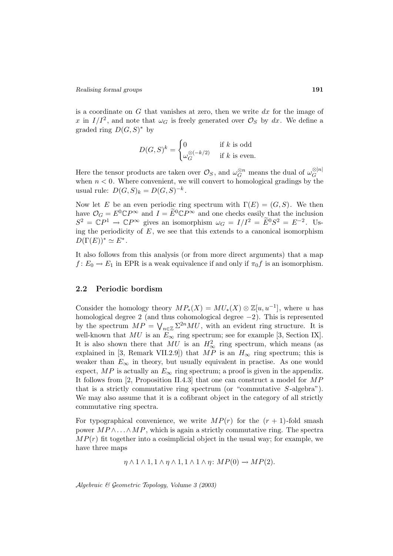is a coordinate on  $G$  that vanishes at zero, then we write  $dx$  for the image of x in  $I/I^2$ , and note that  $\omega_G$  is freely generated over  $\mathcal{O}_S$  by dx. We define a graded ring  $D(G, S)^*$  by

$$
D(G, S)^k = \begin{cases} 0 & \text{if } k \text{ is odd} \\ \omega_G^{\otimes (-k/2)} & \text{if } k \text{ is even.} \end{cases}
$$

Here the tensor products are taken over  $\mathcal{O}_S$ , and  $\omega_G^{\otimes n}$  means the dual of  $\omega_G^{\otimes |n|}$ when  $n < 0$ . Where convenient, we will convert to homological gradings by the usual rule:  $D(G, S)_k = D(G, S)^{-k}$ .

Now let E be an even periodic ring spectrum with  $\Gamma(E)=(G, S)$ . We then have  $\mathcal{O}_G = E^0 \mathbb{C} P^{\infty}$  and  $I = \widetilde{E}^0 \mathbb{C} P^{\infty}$  and one checks easily that the inclusion  $S^2 = \mathbb{C}P^1 \to \mathbb{C}P^\infty$  gives an isomorphism  $\omega_G = I/I^2 = \widetilde{E}^0S^2 = E^{-2}$ . Using the periodicity of  $E$ , we see that this extends to a canonical isomorphism  $D(\Gamma(E))^* \simeq E^*$ .

It also follows from this analysis (or from more direct arguments) that a map  $f: E_0 \to E_1$  in EPR is a weak equivalence if and only if  $\pi_0 f$  is an isomorphism.

## **2.2 Periodic bordism**

Consider the homology theory  $MP_*(X) = MU_*(X) \otimes \mathbb{Z}[u, u^{-1}]$ , where u has homological degree 2 (and thus cohomological degree  $-2$ ). This is represented by the spectrum  $MP = \bigvee_{n \in \mathbb{Z}} \Sigma^{2n} MU$ , with an evident ring structure. It is well-known that  $MU$  is an  $E_{\infty}$  ring spectrum; see for example [3, Section IX]. It is also shown there that  $MU$  is an  $H^2_{\infty}$  ring spectrum, which means (as explained in [3, Remark VII.2.9]) that  $MP$  is an  $H_{\infty}$  ring spectrum; this is weaker than  $E_{\infty}$  in theory, but usually equivalent in practise. As one would expect, MP is actually an  $E_{\infty}$  ring spectrum; a proof is given in the appendix. It follows from [2, Proposition II.4.3] that one can construct a model for MP that is a strictly commutative ring spectrum (or "commutative  $S$ -algebra"). We may also assume that it is a cofibrant object in the category of all strictly commutative ring spectra.

For typographical convenience, we write  $MP(r)$  for the  $(r + 1)$ -fold smash power  $MP \wedge ... \wedge MP$ , which is again a strictly commutative ring. The spectra  $MP(r)$  fit together into a cosimplicial object in the usual way; for example, we have three maps

 $\eta \wedge 1 \wedge 1, 1 \wedge \eta \wedge 1, 1 \wedge 1 \wedge \eta$ :  $MP(0) \rightarrow MP(2)$ .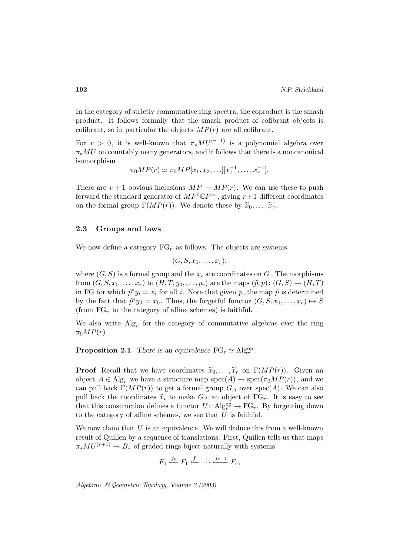In the category of strictly commutative ring spectra, the coproduct is the smash product. It follows formally that the smash product of cofibrant objects is cofibrant, so in particular the objects  $MP(r)$  are all cofibrant.

For  $r > 0$ , it is well-known that  $\pi_*MU^{(r+1)}$  is a polynomial algebra over  $\pi_*MU$  on countably many generators, and it follows that there is a noncanonical isomorphism

$$
\pi_0 MP(r) \simeq \pi_0 MP[x_1, x_2, \ldots][x_1^{-1}, \ldots, x_r^{-1}].
$$

There are  $r + 1$  obvious inclusions  $MP \to MP(r)$ . We can use these to push forward the standard generator of  $MP^0\mathbb{C}P^\infty$ , giving  $r+1$  different coordinates on the formal group  $\Gamma(MP(r))$ . We denote these by  $\widetilde{x}_0,\ldots,\widetilde{x}_r$ .

## **2.3 Groups and laws**

We now define a category  $FG_r$  as follows. The objects are systems

$$
(G, S, x_0, \ldots, x_r),
$$

where  $(G, S)$  is a formal group and the  $x_i$  are coordinates on G. The morphisms from  $(G, S, x_0, \ldots, x_r)$  to  $(H, T, y_0, \ldots, y_r)$  are the maps  $(\tilde{p}, p) : (G, S) \to (H, T)$ in FG for which  $\tilde{p}^*y_i = x_i$  for all i. Note that given p, the map  $\tilde{p}$  is determined by the fact that  $\tilde{p}^*y_0 = x_0$ . Thus, the forgetful functor  $(G, S, x_0, \ldots, x_r) \mapsto S$ (from  $FG_r$  to the category of affine schemes) is faithful.

We also write  $\text{Alg}_r$  for the category of commutative algebras over the ring  $\pi_0MP(r)$ .

**Proposition 2.1** *There is an equivalence*  $FG_r \simeq Alg_r^{op}$ .

**Proof** Recall that we have coordinates  $\tilde{x}_0, \ldots, \tilde{x}_r$  on  $\Gamma(MP(r))$ . Given an object  $A \in Alg_r$  we have a structure map  $spec(A) \rightarrow spec(\pi_0 MP(r))$ , and we can pull back  $\Gamma(MP(r))$  to get a formal group  $G_A$  over  $spec(A)$ . We can also pull back the coordinates  $\tilde{x}_i$  to make  $G_A$  an object of  $\text{FG}_r$ . It is easy to see that this construction defines a functor  $U: \mathrm{Alg}_r^{\mathrm{op}} \to \mathrm{FG}_r$ . By forgetting down to the category of affine schemes, we see that  $U$  is faithful.

We now claim that  $U$  is an equivalence. We will deduce this from a well-known result of Quillen by a sequence of translations. First, Quillen tells us that maps  $\pi_*MU^{(r+1)} \to B_*$  of graded rings biject naturally with systems

$$
F_0 \stackrel{f_0}{\longleftarrow} F_1 \stackrel{f_1}{\longleftarrow} \cdots \stackrel{f_{r-1}}{\longleftarrow} F_r,
$$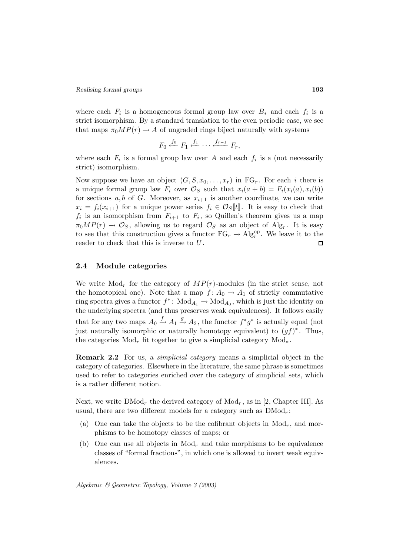where each  $F_i$  is a homogeneous formal group law over  $B_*$  and each  $f_i$  is a strict isomorphism. By a standard translation to the even periodic case, we see that maps  $\pi_0 M P(r) \to A$  of ungraded rings biject naturally with systems

$$
F_0 \stackrel{f_0}{\longleftarrow} F_1 \stackrel{f_1}{\longleftarrow} \cdots \stackrel{f_{r-1}}{\longleftarrow} F_r,
$$

where each  $F_i$  is a formal group law over A and each  $f_i$  is a (not necessarily strict) isomorphism.

Now suppose we have an object  $(G, S, x_0, \ldots, x_r)$  in  $FG_r$ . For each i there is a unique formal group law  $F_i$  over  $\mathcal{O}_S$  such that  $x_i(a + b) = F_i(x_i(a), x_i(b))$ for sections a, b of G. Moreover, as  $x_{i+1}$  is another coordinate, we can write  $x_i = f_i(x_{i+1})$  for a unique power series  $f_i \in \mathcal{O}_S[\![t]\!]$ . It is easy to check that  $f_i$  is an isomorphism from  $F_{i+1}$  to  $F_i$ , so Quillen's theorem gives us a map  $\pi_0MP(r) \to \mathcal{O}_S$ , allowing us to regard  $\mathcal{O}_S$  as an object of Alg<sub>r</sub>. It is easy to see that this construction gives a functor  $FG_r \to Alg_r^{\rm op}$ . We leave it to the reader to check that this is inverse to U . ⊡

## **2.4 Module categories**

We write  $Mod<sub>r</sub>$  for the category of  $MP(r)$ -modules (in the strict sense, not the homotopical one). Note that a map  $f: A_0 \to A_1$  of strictly commutative ring spectra gives a functor  $f^*$ : Mod<sub>A<sub>1</sub>  $\rightarrow$  Mod<sub>A<sub>0</sub></sub>, which is just the identity on</sub> the underlying spectra (and thus preserves weak equivalences). It follows easily that for any two maps  $A_0 \stackrel{f}{\rightarrow} A_1 \stackrel{g}{\rightarrow} A_2$ , the functor  $f^*g^*$  is actually equal (not just naturally isomorphic or naturally homotopy equivalent) to  $(qf)^*$ . Thus, the categories Mod<sub>r</sub> fit together to give a simplicial category Mod<sub>\*</sub>.

**Remark 2.2** For us, a simplicial category means a simplicial object in the category of categories. Elsewhere in the literature, the same phrase is sometimes used to refer to categories enriched over the category of simplicial sets, which is a rather different notion.

Next, we write  $\text{DMod}_r$  the derived category of  $\text{Mod}_r$ , as in [2, Chapter III]. As usual, there are two different models for a category such as  $\text{DMod}_r$ :

- (a) One can take the objects to be the cofibrant objects in  $Mod<sub>r</sub>$ , and morphisms to be homotopy classes of maps; or
- (b) One can use all objects in  $Mod<sub>r</sub>$  and take morphisms to be equivalence classes of "formal fractions", in which one is allowed to invert weak equivalences.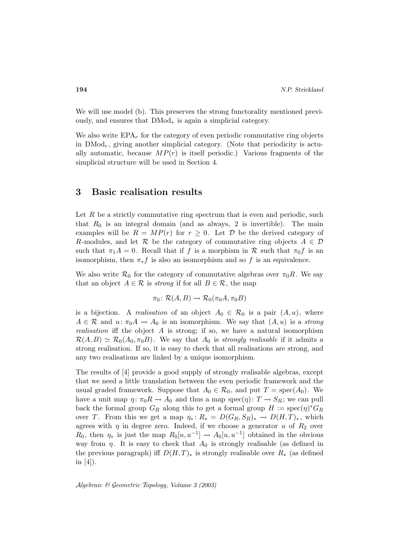We will use model (b). This preserves the strong functorality mentioned previously, and ensures that DMod<sup>∗</sup> is again a simplicial category.

We also write  $EPA_r$  for the category of even periodic commutative ring objects in  $\text{DMod}_r$ , giving another simplicial category. (Note that periodicity is actually automatic, because  $MP(r)$  is itself periodic.) Various fragments of the simplicial structure will be used in Section 4.

## **3 Basic realisation results**

Let  $R$  be a strictly commutative ring spectrum that is even and periodic, such that  $R_0$  is an integral domain (and as always, 2 is invertible). The main examples will be  $R = MP(r)$  for  $r \geq 0$ . Let D be the derived category of R-modules, and let R be the category of commutative ring objects  $A \in \mathcal{D}$ such that  $\pi_1 A = 0$ . Recall that if f is a morphism in R such that  $\pi_0 f$  is an isomorphism, then  $\pi_* f$  is also an isomorphism and so f is an equivalence.

We also write  $\mathcal{R}_0$  for the category of commutative algebras over  $\pi_0R$ . We say that an object  $A \in \mathcal{R}$  is *strong* if for all  $B \in \mathcal{R}$ , the map

$$
\pi_0 \colon \mathcal{R}(A, B) \to \mathcal{R}_0(\pi_0 A, \pi_0 B)
$$

is a bijection. A realisation of an object  $A_0 \in \mathcal{R}_0$  is a pair  $(A, u)$ , where  $A \in \mathcal{R}$  and  $u: \pi_0 A \to A_0$  is an isomorphism. We say that  $(A, u)$  is a strong *realisation* iff the object  $A$  is strong; if so, we have a natural isomorphism  $\mathcal{R}(A, B) \simeq \mathcal{R}_0(A_0, \pi_0 B)$ . We say that  $A_0$  is strongly realisable if it admits a strong realisation. If so, it is easy to check that all realisations are strong, and any two realisations are linked by a unique isomorphism.

The results of [4] provide a good supply of strongly realisable algebras, except that we need a little translation between the even periodic framework and the usual graded framework. Suppose that  $A_0 \in \mathcal{R}_0$ , and put  $T = \text{spec}(A_0)$ . We have a unit map  $\eta: \pi_0 R \to A_0$  and thus a map spec $(\eta): T \to S_R$ ; we can pull back the formal group  $G_R$  along this to get a formal group  $H := \text{spec}(\eta)^* G_R$ over T. From this we get a map  $\eta_* \colon R_* = D(G_R, S_R)_* \to D(H, T)_*,$  which agrees with  $\eta$  in degree zero. Indeed, if we choose a generator u of  $R_2$  over  $R_0$ , then  $\eta_*$  is just the map  $R_0[u, u^{-1}] \to A_0[u, u^{-1}]$  obtained in the obvious way from  $\eta$ . It is easy to check that  $A_0$  is strongly realisable (as defined in the previous paragraph) iff  $D(H,T)_*$  is strongly realisable over  $R_*$  (as defined in  $[4]$ ).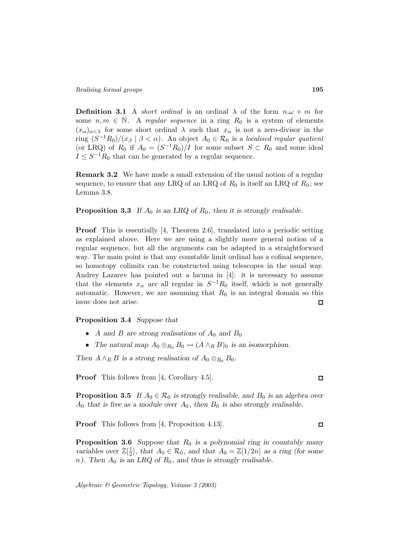**Definition 3.1** A *short ordinal* is an ordinal  $\lambda$  of the form  $n.\omega + m$  for some  $n, m \in \mathbb{N}$ . A regular sequence in a ring  $R_0$  is a system of elements  $(x_{\alpha})_{\alpha<\lambda}$  for some short ordinal  $\lambda$  such that  $x_{\alpha}$  is not a zero-divisor in the ring  $(S^{-1}R_0)/(x_\beta \mid \beta < \alpha)$ . An object  $A_0 \in \mathcal{R}_0$  is a localised regular quotient (or LRQ) of  $R_0$  if  $A_0 = (S^{-1}R_0)/I$  for some subset  $S \subset R_0$  and some ideal  $I \leq S^{-1}R_0$  that can be generated by a regular sequence.

**Remark 3.2** We have made a small extension of the usual notion of a regular sequence, to ensure that any LRQ of an LRQ of  $R_0$  is itself an LRQ of  $R_0$ ; see Lemma 3.8.

## **Proposition 3.3** *If*  $A_0$  *is an LRQ of*  $R_0$ *, then it is strongly realisable.*

**Proof** This is essentially [4, Theorem 2.6], translated into a periodic setting as explained above. Here we are using a slightly more general notion of a regular sequence, but all the arguments can be adapted in a straightforward way. The main point is that any countable limit ordinal has a cofinal sequence, so homotopy colimits can be constructed using telescopes in the usual way. Andrey Lazarev has pointed out a lacuna in [4]: it is necessary to assume that the elements  $x_{\alpha}$  are all regular in  $S^{-1}R_0$  itself, which is not generally automatic. However, we are assuming that  $R_0$  is an integral domain so this issue does not arise. 口

#### **Proposition 3.4** *Suppose that*

- A and B are strong realisations of  $A_0$  and  $B_0$
- The natural map  $A_0 \otimes_{R_0} B_0 \to (A \wedge_R B)_0$  is an isomorphism.

*Then*  $A \wedge_R B$  *is a strong realisation of*  $A_0 \otimes_{R_0} B_0$ *.* 

**Proof** This follows from [4, Corollary 4.5].

**Proposition 3.5** *If*  $A_0 \in \mathcal{R}_0$  *is strongly realisable, and*  $B_0$  *is an algebra over*  $A_0$  that is free as a module over  $A_0$ , then  $B_0$  is also strongly realisable.

**Proof** This follows from [4, Proposition 4.13].

**Proposition 3.6** *Suppose that*  $R_0$  *is a polynomial ring in countably many variables over*  $\mathbb{Z}[\frac{1}{2}]$ *, that*  $A_0 \in \mathcal{R}_0$ *, and that*  $A_0 = \mathbb{Z}[1/2n]$  *as a ring (for some*  $n$ ). Then  $A_0$  is an LRQ of  $R_0$ , and thus is strongly realisable.

 $\Box$ 

 $\Box$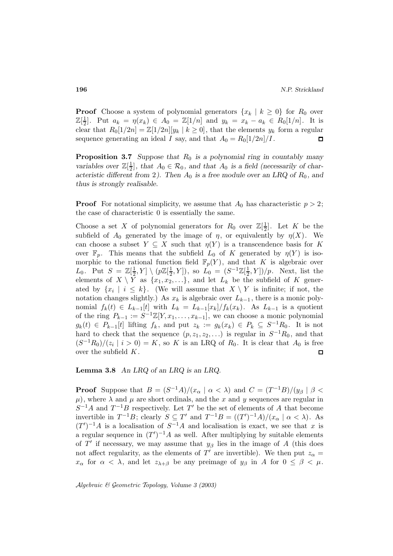**Proof** Choose a system of polynomial generators  $\{x_k | k \geq 0\}$  for  $R_0$  over  $\mathbb{Z}[\frac{1}{2}]$ . Put  $a_k = \eta(x_k) \in A_0 = \mathbb{Z}[1/n]$  and  $y_k = x_k - a_k \in R_0[1/n]$ . It is clear that  $R_0[1/2n] = \mathbb{Z}[1/2n][y_k | k \geq 0]$ , that the elements  $y_k$  form a regular sequence generating an ideal I say, and that  $A_0 = R_0[1/2n]/I$ . 口

**Proposition 3.7** *Suppose that*  $R_0$  *is a polynomial ring in countably many variables over*  $\mathbb{Z}[\frac{1}{2}]$ *, that*  $A_0 \in \mathcal{R}_0$ *, and that*  $A_0$  *is a field (necessarily of characteristic different from* 2*).* Then  $A_0$  *is a free module over an LRQ of*  $R_0$ *, and thus is strongly realisable.*

**Proof** For notational simplicity, we assume that  $A_0$  has characteristic  $p > 2$ ; the case of characteristic 0 is essentially the same.

Choose a set X of polynomial generators for  $R_0$  over  $\mathbb{Z}[\frac{1}{2}]$ . Let K be the subfield of  $A_0$  generated by the image of  $\eta$ , or equivalently by  $\eta(X)$ . We can choose a subset  $Y \subseteq X$  such that  $\eta(Y)$  is a transcendence basis for K over  $\mathbb{F}_p$ . This means that the subfield  $L_0$  of K generated by  $\eta(Y)$  is isomorphic to the rational function field  $\mathbb{F}_p(Y)$ , and that K is algebraic over L<sub>0</sub>. Put  $S = \mathbb{Z}[\frac{1}{2}, Y] \setminus (p\mathbb{Z}[\frac{1}{2}, Y])$ , so  $L_0 = (S^{-1}\mathbb{Z}[\frac{1}{2}, Y])/p$ . Next, list the elements of  $X \setminus Y$  as  $\{x_1, x_2, \ldots\}$ , and let  $L_k$  be the subfield of K generated by  $\{x_i \mid i \leq k\}$ . (We will assume that  $X \setminus Y$  is infinite; if not, the notation changes slightly.) As  $x_k$  is algebraic over  $L_{k-1}$ , there is a monic polynomial  $f_k(t) \in L_{k-1}[t]$  with  $L_k = L_{k-1}[x_k]/f_k(x_k)$ . As  $L_{k-1}$  is a quotient of the ring  $P_{k-1} := S^{-1} \mathbb{Z}[Y, x_1, \ldots, x_{k-1}],$  we can choose a monic polynomial  $g_k(t) \in P_{k-1}[t]$  lifting  $f_k$ , and put  $z_k := g_k(x_k) \in P_k \subseteq S^{-1}R_0$ . It is not hard to check that the sequence  $(p, z_1, z_2,...)$  is regular in  $S^{-1}R_0$ , and that  $(S^{-1}R_0)/(z_i \mid i > 0) = K$ , so K is an LRQ of  $R_0$ . It is clear that  $A_0$  is free over the subfield K.  $\Box$ 

#### **Lemma 3.8** *An LRQ of an LRQ is an LRQ.*

**Proof** Suppose that  $B = (S^{-1}A)/(x_\alpha \mid \alpha < \lambda)$  and  $C = (T^{-1}B)/(y_\beta \mid \beta <$  $\mu$ , where  $\lambda$  and  $\mu$  are short ordinals, and the x and y sequences are regular in  $S^{-1}A$  and  $T^{-1}B$  respectively. Let T' be the set of elements of A that become invertible in  $T^{-1}B$ ; clearly  $S \subseteq T'$  and  $T^{-1}B = ((T')^{-1}A)/(x_\alpha \mid \alpha < \lambda)$ . As  $(T')^{-1}A$  is a localisation of  $S^{-1}A$  and localisation is exact, we see that x is a regular sequence in  $(T')^{-1}A$  as well. After multiplying by suitable elements of T' if necessary, we may assume that  $y_\beta$  lies in the image of A (this does not affect regularity, as the elements of T' are invertible). We then put  $z_{\alpha} =$  $x_{\alpha}$  for  $\alpha < \lambda$ , and let  $z_{\lambda+\beta}$  be any preimage of  $y_{\beta}$  in A for  $0 \leq \beta < \mu$ .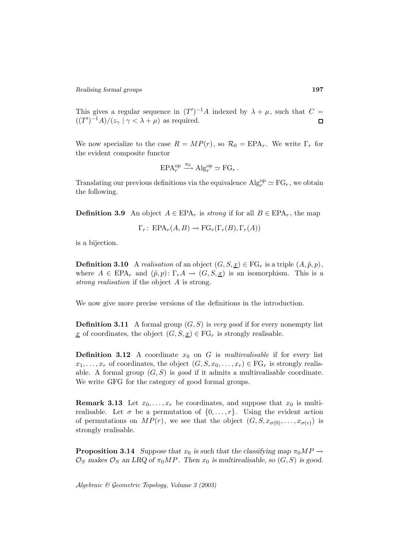This gives a regular sequence in  $(T')^{-1}A$  indexed by  $\lambda + \mu$ , such that  $C =$  $((T')^{-1}A)/(z_{\gamma} | \gamma < \lambda + \mu)$  as required.  $\Box$ 

We now specialize to the case  $R = MP(r)$ , so  $\mathcal{R}_0 = EPA_r$ . We write  $\Gamma_r$  for the evident composite functor

$$
EPA_r^{\rm op} \xrightarrow{\pi_0} \mathrm{Alg}_r^{\rm op} \simeq \mathrm{FG}_r.
$$

Translating our previous definitions via the equivalence  $\mathrm{Alg}_{r}^{\mathrm{op}} \simeq \mathrm{FG}_{r}$ , we obtain the following.

**Definition 3.9** An object  $A \in EPA_r$  is strong if for all  $B \in EPA_r$ , the map

$$
\Gamma_r\colon \text{EPA}_r(A, B) \to \text{FG}_r(\Gamma_r(B), \Gamma_r(A))
$$

is a bijection.

**Definition 3.10** A realisation of an object  $(G, S, \underline{x}) \in \mathrm{FG}_r$  is a triple  $(A, \tilde{p}, p)$ , where  $A \in \text{EPA}_r$  and  $(\tilde{p}, p) \colon \Gamma_r A \to (G, S, \underline{x})$  is an isomorphism. This is a strong realisation if the object A is strong.

We now give more precise versions of the definitions in the introduction.

**Definition 3.11** A formal group  $(G, S)$  is very good if for every nonempty list x of coordinates, the object  $(G, S, x) \in \mathrm{FG}_r$  is strongly realisable.

**Definition 3.12** A coordinate  $x_0$  on G is multirealisable if for every list  $x_1,\ldots,x_r$  of coordinates, the object  $(G, S, x_0,\ldots,x_r) \in \mathrm{FG}_r$  is strongly realisable. A formal group  $(G, S)$  is good if it admits a multirealisable coordinate. We write GFG for the category of good formal groups.

**Remark 3.13** Let  $x_0, \ldots, x_r$  be coordinates, and suppose that  $x_0$  is multirealisable. Let  $\sigma$  be a permutation of  $\{0,\ldots,r\}$ . Using the evident action of permutations on  $MP(r)$ , we see that the object  $(G, S, x_{\sigma(0)},..., x_{\sigma(r)})$  is strongly realisable.

**Proposition 3.14** *Suppose that*  $x_0$  *is such that the classifying map*  $\pi_0 M P \rightarrow$  $\mathcal{O}_S$  makes  $\mathcal{O}_S$  an LRQ of  $\pi_0 MP$ . Then  $x_0$  is multirealisable, so  $(G, S)$  is good.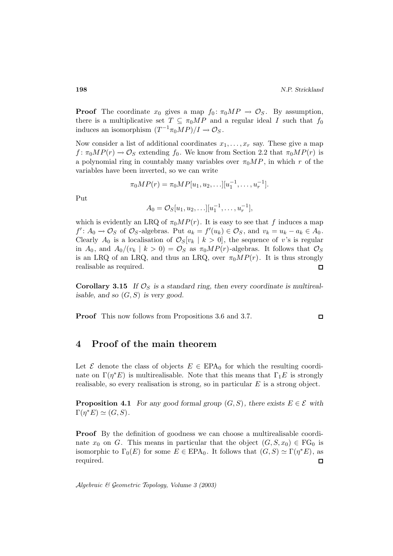**Proof** The coordinate  $x_0$  gives a map  $f_0: \pi_0 M P \to \mathcal{O}_S$ . By assumption, there is a multiplicative set  $T \subseteq \pi_0 M P$  and a regular ideal I such that  $f_0$ induces an isomorphism  $(T^{-1}\pi_0 MP)/I \to \mathcal{O}_S$ .

Now consider a list of additional coordinates  $x_1, \ldots, x_r$  say. These give a map  $f: \pi_0MP(r) \to \mathcal{O}_S$  extending  $f_0$ . We know from Section 2.2 that  $\pi_0MP(r)$  is a polynomial ring in countably many variables over  $\pi_0 M P$ , in which r of the variables have been inverted, so we can write

$$
\pi_0 MP(r) = \pi_0 MP[u_1, u_2, \ldots][u_1^{-1}, \ldots, u_r^{-1}].
$$

Put

$$
A_0 = \mathcal{O}_S[u_1, u_2, \ldots][u_1^{-1}, \ldots, u_r^{-1}],
$$

which is evidently an LRQ of  $\pi_0MP(r)$ . It is easy to see that f induces a map  $f' : A_0 \to \mathcal{O}_S$  of  $\mathcal{O}_S$ -algebras. Put  $a_k = f'(u_k) \in \mathcal{O}_S$ , and  $v_k = u_k - a_k \in A_0$ . Clearly  $A_0$  is a localisation of  $\mathcal{O}_S[v_k | k > 0]$ , the sequence of v's is regular in  $A_0$ , and  $A_0/(v_k | k > 0) = \mathcal{O}_S$  as  $\pi_0 M P(r)$ -algebras. It follows that  $\mathcal{O}_S$ is an LRQ of an LRQ, and thus an LRQ, over  $\pi_0 M P(r)$ . It is thus strongly realisable as required.  $\Box$ 

**Corollary 3.15** If  $\mathcal{O}_S$  is a standard ring, then every coordinate is multireal*isable, and so* (G, S) *is very good.*

**Proof** This now follows from Propositions 3.6 and 3.7.

## **4 Proof of the main theorem**

Let  $\mathcal E$  denote the class of objects  $E \in EPA_0$  for which the resulting coordinate on  $\Gamma(\eta^*E)$  is multirealisable. Note that this means that  $\Gamma_1E$  is strongly realisable, so every realisation is strong, so in particular  $E$  is a strong object.

**Proposition 4.1** *For any good formal group*  $(G, S)$ *, there exists*  $E \in \mathcal{E}$  *with*  $\Gamma(\eta^*E) \simeq (G, S).$ 

**Proof** By the definition of goodness we can choose a multirealisable coordinate  $x_0$  on G. This means in particular that the object  $(G, S, x_0) \in \mathrm{FG}_0$  is isomorphic to  $\Gamma_0(E)$  for some  $E \in EPA_0$ . It follows that  $(G, S) \simeq \Gamma(\eta^*E)$ , as required.  $\Box$ 

Algebraic & Geometric Topology*, Volume 3 (2003)*

 $\square$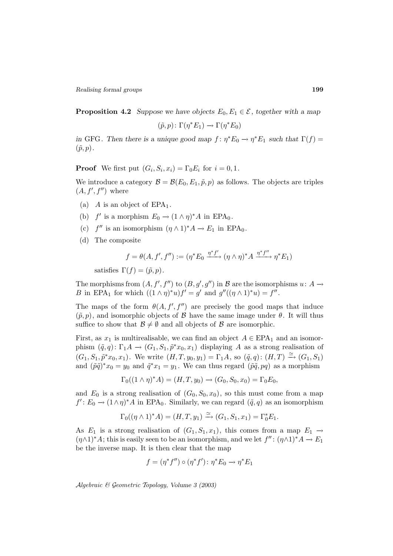**Proposition 4.2** *Suppose we have objects*  $E_0, E_1 \in \mathcal{E}$ , together with a map

$$
(\tilde{p}, p) \colon \Gamma(\eta^* E_1) \to \Gamma(\eta^* E_0)
$$

*in* GFG. Then there is a unique good map  $f: \eta^*E_0 \to \eta^*E_1$  such that  $\Gamma(f) =$  $(\tilde{p}, p)$ .

**Proof** We first put  $(G_i, S_i, x_i) = \Gamma_0 E_i$  for  $i = 0, 1$ .

We introduce a category  $\mathcal{B} = \mathcal{B}(E_0, E_1, \tilde{p}, p)$  as follows. The objects are triples  $(A, f', f'')$  where

- (a) A is an object of  $EPA<sub>1</sub>$ .
- (b) f' is a morphism  $E_0 \rightarrow (1 \wedge \eta)^* A$  in EPA<sub>0</sub>.
- (c)  $f''$  is an isomorphism  $(\eta \wedge 1)^*A \to E_1$  in EPA<sub>0</sub>.
- (d) The composite

$$
f = \theta(A, f', f'') := (\eta^* E_0 \xrightarrow{\eta^* f'} (\eta \wedge \eta)^* A \xrightarrow{\eta^* f''} \eta^* E_1)
$$

satisfies  $\Gamma(f) = (\tilde{p}, p)$ .

The morphisms from  $(A, f', f'')$  to  $(B, g', g'')$  in  $\mathcal B$  are the isomorphisms  $u: A \to$ B in EPA<sub>1</sub> for which  $((1 \wedge \eta)^*u)f' = g'$  and  $g''((\eta \wedge 1)^*u) = f''$ .

The maps of the form  $\theta(A, f', f'')$  are precisely the good maps that induce  $(\tilde{p}, p)$ , and isomorphic objects of  $\beta$  have the same image under  $\theta$ . It will thus suffice to show that  $\mathcal{B} \neq \emptyset$  and all objects of  $\mathcal{B}$  are isomorphic.

First, as  $x_1$  is multirealisable, we can find an object  $A \in EPA_1$  and an isomorphism  $(\tilde{q}, q): \Gamma_1 A \to (G_1, S_1, \tilde{p}^* x_0, x_1)$  displaying A as a strong realisation of  $(G_1, S_1, \tilde{p}^*x_0, x_1)$ . We write  $(H, T, y_0, y_1) = \Gamma_1 A$ , so  $(\tilde{q}, q) : (H, T) \xrightarrow{\simeq} (G_1, S_1)$ and  $(\tilde{p}\tilde{q})^*x_0 = y_0$  and  $\tilde{q}^*x_1 = y_1$ . We can thus regard  $(\tilde{p}\tilde{q}, pq)$  as a morphism

$$
\Gamma_0((1 \wedge \eta)^*A) = (H, T, y_0) \rightarrow (G_0, S_0, x_0) = \Gamma_0 E_0,
$$

and  $E_0$  is a strong realisation of  $(G_0, S_0, x_0)$ , so this must come from a map  $f' : E_0 \to (1 \wedge \eta)^* A$  in EPA<sub>0</sub>. Similarly, we can regard  $(\tilde{q}, q)$  as an isomorphism

$$
\Gamma_0((\eta \wedge 1)^*A) = (H, T, y_1) \xrightarrow{\simeq} (G_1, S_1, x_1) = \Gamma_0^* E_1.
$$

As  $E_1$  is a strong realisation of  $(G_1, S_1, x_1)$ , this comes from a map  $E_1 \rightarrow$  $(\eta \wedge 1)^*A$ ; this is easily seen to be an isomorphism, and we let  $f''$ :  $(\eta \wedge 1)^*A \to E_1$ be the inverse map. It is then clear that the map

$$
f = (\eta^* f'') \circ (\eta^* f') \colon \eta^* E_0 \to \eta^* E_1
$$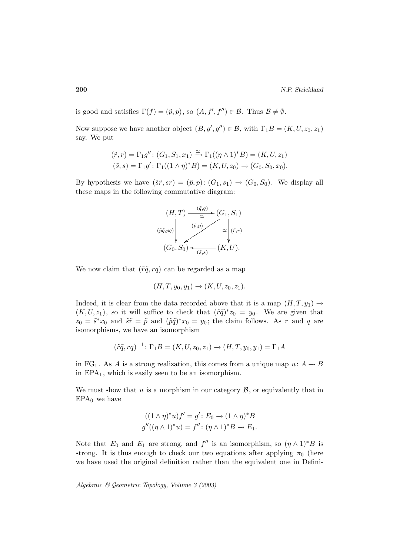is good and satisfies  $\Gamma(f) = (\tilde{p}, p)$ , so  $(A, f', f'') \in \mathcal{B}$ . Thus  $\mathcal{B} \neq \emptyset$ .

Now suppose we have another object  $(B, g', g'') \in \mathcal{B}$ , with  $\Gamma_1 B = (K, U, z_0, z_1)$ say. We put

$$
(\tilde{r}, r) = \Gamma_1 g'' : (G_1, S_1, x_1) \xrightarrow{\simeq} \Gamma_1((\eta \wedge 1)^* B) = (K, U, z_1)
$$
  

$$
(\tilde{s}, s) = \Gamma_1 g' : \Gamma_1((1 \wedge \eta)^* B) = (K, U, z_0) \rightarrow (G_0, S_0, x_0).
$$

By hypothesis we have  $(\tilde{s}\tilde{r}, sr) = (\tilde{p}, p) : (G_1, s_1) \rightarrow (G_0, S_0)$ . We display all these maps in the following commutative diagram:



We now claim that  $(\tilde{r}\tilde{q}, r\tilde{q})$  can be regarded as a map

$$
(H, T, y_0, y_1) \to (K, U, z_0, z_1).
$$

Indeed, it is clear from the data recorded above that it is a map  $(H, T, y_1) \rightarrow$  $(K, U, z_1)$ , so it will suffice to check that  $(\tilde{r}\tilde{q})^*z_0 = y_0$ . We are given that  $z_0 = \tilde{s}^*x_0$  and  $\tilde{s}\tilde{r} = \tilde{p}$  and  $(\tilde{p}\tilde{q})^*x_0 = y_0$ ; the claim follows. As r and q are isomorphisms, we have an isomorphism

$$
(\tilde{r}\tilde{q},rq)^{-1} : \Gamma_1 B = (K, U, z_0, z_1) \to (H, T, y_0, y_1) = \Gamma_1 A
$$

in FG<sub>1</sub>. As A is a strong realization, this comes from a unique map  $u: A \to B$ in  $EPA<sub>1</sub>$ , which is easily seen to be an isomorphism.

We must show that u is a morphism in our category  $\mathcal{B}$ , or equivalently that in  $EPA<sub>0</sub>$  we have

$$
((1 \wedge \eta)^* u)f' = g': E_0 \to (1 \wedge \eta)^* B
$$
  

$$
g''((\eta \wedge 1)^* u) = f'' : (\eta \wedge 1)^* B \to E_1.
$$

Note that  $E_0$  and  $E_1$  are strong, and  $f''$  is an isomorphism, so  $(\eta \wedge 1)^*B$  is strong. It is thus enough to check our two equations after applying  $\pi_0$  (here we have used the original definition rather than the equivalent one in Defini-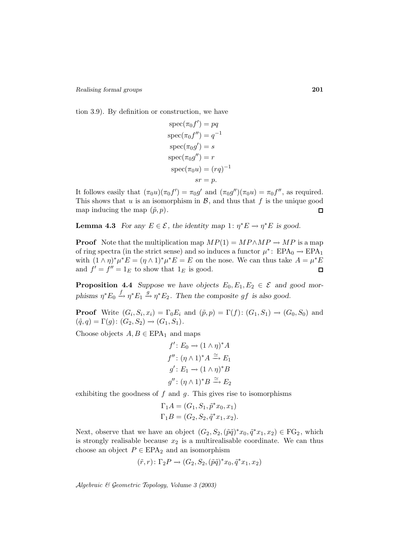tion 3.9). By definition or construction, we have

$$
spec(\pi_0 f') = pq
$$
  
\n
$$
spec(\pi_0 f'') = q^{-1}
$$
  
\n
$$
spec(\pi_0 g') = s
$$
  
\n
$$
spec(\pi_0 g'') = r
$$
  
\n
$$
spec(\pi_0 u) = (rq)^{-1}
$$
  
\n
$$
sr = p.
$$

It follows easily that  $(\pi_0 u)(\pi_0 f') = \pi_0 g'$  and  $(\pi_0 g'')(\pi_0 u) = \pi_0 f''$ , as required. This shows that  $u$  is an isomorphism in  $\mathcal{B}$ , and thus that  $f$  is the unique good map inducing the map  $(\tilde{p}, p)$ .  $\Box$ 

**Lemma 4.3** *For any*  $E \in \mathcal{E}$ , the identity map 1:  $\eta^* E \to \eta^* E$  is good.

**Proof** Note that the multiplication map  $MP(1) = MP \wedge MP \rightarrow MP$  is a map of ring spectra (in the strict sense) and so induces a functor  $\mu^*$ : EPA<sub>0</sub>  $\rightarrow$  EPA<sub>1</sub> with  $(1 \wedge \eta)^* \mu^* E = (\eta \wedge 1)^* \mu^* E = E$  on the nose. We can thus take  $A = \mu^* E$ and  $f' = f'' = 1_E$  to show that  $1_E$  is good.  $\Box$ 

**Proposition 4.4** *Suppose we have objects*  $E_0, E_1, E_2 \in \mathcal{E}$  and good mor*phisms*  $\eta^* E_0 \xrightarrow{f} \eta^* E_1 \xrightarrow{g} \eta^* E_2$ . Then the composite gf is also good.

**Proof** Write  $(G_i, S_i, x_i) = \Gamma_0 E_i$  and  $(\tilde{p}, p) = \Gamma(f) : (G_1, S_1) \to (G_0, S_0)$  and  $(\tilde{q}, q) = \Gamma(g) : (G_2, S_2) \to (G_1, S_1).$ 

Choose objects  $A, B \in EPA_1$  and maps

$$
f': E_0 \to (1 \wedge \eta)^* A
$$
  

$$
f'' : (\eta \wedge 1)^* A \xrightarrow{\simeq} E_1
$$
  

$$
g' : E_1 \to (1 \wedge \eta)^* B
$$
  

$$
g'' : (\eta \wedge 1)^* B \xrightarrow{\simeq} E_2
$$

exhibiting the goodness of  $f$  and  $g$ . This gives rise to isomorphisms

$$
\Gamma_1 A = (G_1, S_1, \tilde{p}^* x_0, x_1)
$$
  
\n
$$
\Gamma_1 B = (G_2, S_2, \tilde{q}^* x_1, x_2).
$$

Next, observe that we have an object  $(G_2, S_2,(\tilde{p}\tilde{q})^*x_0, \tilde{q}^*x_1, x_2) \in \mathbb{F}G_2$ , which is strongly realisable because  $x_2$  is a multirealisable coordinate. We can thus choose an object  $P \in EPA_2$  and an isomorphism

$$
(\tilde{r},r) \colon \Gamma_2 P \to (G_2, S_2, (\tilde{p}\tilde{q})^* x_0, \tilde{q}^* x_1, x_2)
$$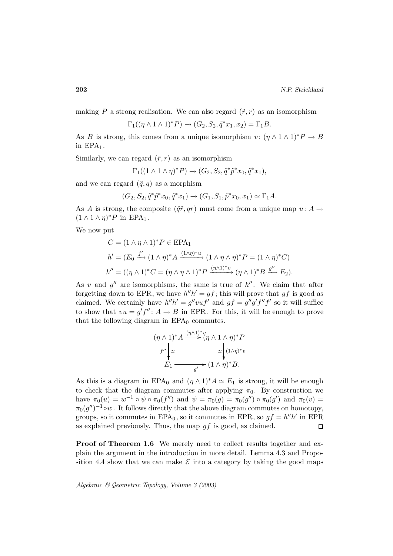making P a strong realisation. We can also regard  $(\tilde{r}, r)$  as an isomorphism

$$
\Gamma_1((\eta \wedge 1 \wedge 1)^*P) \to (G_2, S_2, \tilde{q}^*x_1, x_2) = \Gamma_1 B.
$$

As B is strong, this comes from a unique isomorphism  $v: (\eta \wedge 1 \wedge 1)^*P \to B$ in  $EPA<sub>1</sub>$ .

Similarly, we can regard  $(\tilde{r}, r)$  as an isomorphism

$$
\Gamma_1((1 \wedge 1 \wedge \eta)^*P) \rightarrow (G_2, S_2, \tilde{q}^* \tilde{p}^* x_0, \tilde{q}^* x_1),
$$

and we can regard  $(\tilde{q}, q)$  as a morphism

$$
(G_2, S_2, \tilde{q}^* \tilde{p}^* x_0, \tilde{q}^* x_1) \to (G_1, S_1, \tilde{p}^* x_0, x_1) \simeq \Gamma_1 A.
$$

As A is strong, the composite  $(\tilde{q}\tilde{r},qr)$  must come from a unique map  $u: A \rightarrow$  $(1 \wedge 1 \wedge \eta)^* P$  in EPA<sub>1</sub>.

We now put

$$
C = (1 \wedge \eta \wedge 1)^* P \in \text{EPA}_1
$$
  
\n
$$
h' = (E_0 \xrightarrow{f'} (1 \wedge \eta)^* A \xrightarrow{(1 \wedge \eta)^* u} (1 \wedge \eta \wedge \eta)^* P = (1 \wedge \eta)^* C)
$$
  
\n
$$
h'' = ((\eta \wedge 1)^* C = (\eta \wedge \eta \wedge 1)^* P \xrightarrow{(\eta \wedge 1)^* v} (\eta \wedge 1)^* B \xrightarrow{g''} E_2).
$$

As v and  $g''$  are isomorphisms, the same is true of  $h''$ . We claim that after forgetting down to EPR, we have  $h''h' = gf$ ; this will prove that gf is good as claimed. We certainly have  $h''h' = g''vuf'$  and  $gf = g''g'f''f'$  so it will suffice to show that  $vu = g' f'' : A \to B$  in EPR. For this, it will be enough to prove that the following diagram in  $EPA_0$  commutes.

$$
(\eta \wedge 1)^* A \xrightarrow{(\eta \wedge 1)^* u} (\eta \wedge 1 \wedge \eta)^* P
$$
  

$$
f'' \downarrow \simeq \simeq \searrow^{(1 \wedge \eta)^* v}
$$
  

$$
E_1 \xrightarrow{g'} (1 \wedge \eta)^* B.
$$

As this is a diagram in EPA<sub>0</sub> and  $(\eta \wedge 1)^* A \simeq E_1$  is strong, it will be enough to check that the diagram commutes after applying  $\pi_0$ . By construction we have  $\pi_0(u) = w^{-1} \circ \psi \circ \pi_0(f'')$  and  $\psi = \pi_0(g) = \pi_0(g'') \circ \pi_0(g')$  and  $\pi_0(v) =$  $\pi_0(q'')^{-1} \circ w$ . It follows directly that the above diagram commutes on homotopy, groups, so it commutes in EPA<sub>0</sub>, so it commutes in EPR, so  $gf = h''h'$  in EPR as explained previously. Thus, the map  $gf$  is good, as claimed.  $\Box$ 

**Proof of Theorem 1.6** We merely need to collect results together and explain the argument in the introduction in more detail. Lemma 4.3 and Proposition 4.4 show that we can make  $\mathcal E$  into a category by taking the good maps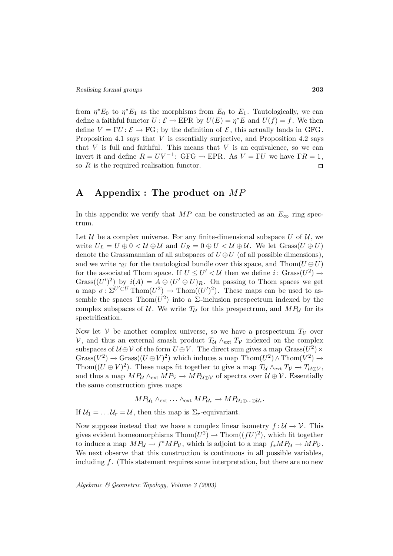from  $\eta^*E_0$  to  $\eta^*E_1$  as the morphisms from  $E_0$  to  $E_1$ . Tautologically, we can define a faithful functor  $U: \mathcal{E} \to \text{EPR}$  by  $U(E) = \eta^*E$  and  $U(f) = f$ . We then define  $V = \Gamma U : \mathcal{E} \to \Gamma G$ ; by the definition of  $\mathcal{E}$ , this actually lands in GFG. Proposition 4.1 says that  $V$  is essentially surjective, and Proposition 4.2 says that  $V$  is full and faithful. This means that  $V$  is an equivalence, so we can invert it and define  $R = UV^{-1}$ : GFG  $\rightarrow$  EPR. As  $V = \Gamma U$  we have  $\Gamma R = 1$ , so  $R$  is the required realisation functor.  $\Box$ 

# **A Appendix : The product on** MP

In this appendix we verify that MP can be constructed as an  $E_{\infty}$  ring spectrum.

Let  $U$  be a complex universe. For any finite-dimensional subspace U of  $U$ , we write  $U_L = U \oplus 0 < \mathcal{U} \oplus \mathcal{U}$  and  $U_R = 0 \oplus U < \mathcal{U} \oplus \mathcal{U}$ . We let  $Grass(U \oplus U)$ denote the Grassmannian of all subspaces of  $U \oplus U$  (of all possible dimensions), and we write  $\gamma_U$  for the tautological bundle over this space, and Thom( $U \oplus U$ ) for the associated Thom space. If  $U \leq U' < U$  then we define i:  $Grass(U^2) \rightarrow$ Grass( $(U')^2$ ) by  $i(A) = A \oplus (U' \ominus U)_R$ . On passing to Thom spaces we get a map  $\sigma: \Sigma^{U' \oplus U}$  Thom $(U^2) \to \text{Thom}((U')^2)$ . These maps can be used to assemble the spaces Thom( $U^2$ ) into a  $\Sigma$ -inclusion prespectrum indexed by the complex subspaces of U. We write  $T_U$  for this prespectrum, and  $MP_U$  for its spectrification.

Now let V be another complex universe, so we have a prespectrum  $T_V$  over V, and thus an external smash product  $T_{\mathcal{U}} \wedge_{\text{ext}} T_{\mathcal{V}}$  indexed on the complex subspaces of  $U \oplus V$  of the form  $U \oplus V$ . The direct sum gives a map  $Grass(U^2) \times$ Grass( $V^2$ ) → Grass( $(U \oplus V)^2$ ) which induces a map Thom $(U^2) \wedge \text{Thom}(V^2) \rightarrow$ Thom( $(U \oplus V)^2$ ). These maps fit together to give a map  $T_{\mathcal{U}} \wedge_{\mathrm{ext}} T_{\mathcal{V}} \to T_{\mathcal{U} \oplus \mathcal{V}}$ , and thus a map  $MP_{\mathcal{U}} \wedge_{ext} MP_{\mathcal{V}} \rightarrow MP_{\mathcal{U} \oplus \mathcal{V}}$  of spectra over  $\mathcal{U} \oplus \mathcal{V}$ . Essentially the same construction gives maps

 $MP_{\mathcal{U}_1} \wedge_{ext} \ldots \wedge_{ext} MP_{\mathcal{U}_r} \rightarrow MP_{\mathcal{U}_1 \oplus \ldots \oplus \mathcal{U}_r}.$ 

If  $U_1 = \ldots U_r = U$ , then this map is  $\Sigma_r$ -equivariant.

Now suppose instead that we have a complex linear isometry  $f: U \to V$ . This gives evident homeomorphisms Thom $(U^2) \to \text{Thom}((fU)^2)$ , which fit together to induce a map  $MP_{\mathcal{U}} \to f^*MP_{\mathcal{V}}$ , which is adjoint to a map  $f_*MP_{\mathcal{U}} \to MP_{\mathcal{V}}$ . We next observe that this construction is continuous in all possible variables, including  $f$ . (This statement requires some interpretation, but there are no new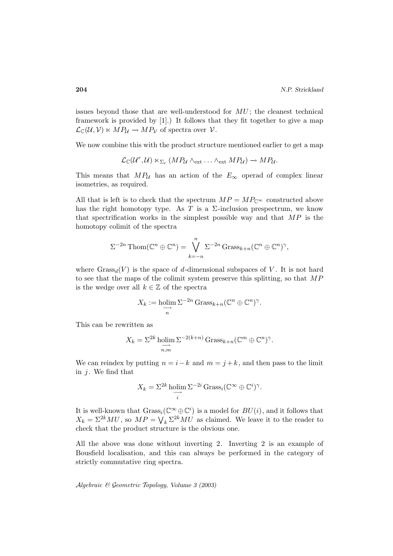issues beyond those that are well-understood for  $MU$ ; the cleanest technical framework is provided by [1].) It follows that they fit together to give a map  $\mathcal{L}_{\mathbb{C}}(\mathcal{U}, \mathcal{V}) \ltimes MP_{\mathcal{U}} \rightarrow MP_{\mathcal{V}}$  of spectra over  $\mathcal{V}$ .

We now combine this with the product structure mentioned earlier to get a map

$$
\mathcal{L}_{\mathbb{C}}(\mathcal{U}^r,\mathcal{U})\ltimes_{\Sigma_r} (MP_{\mathcal{U}} \wedge_{ext} \ldots \wedge_{ext} MP_{\mathcal{U}}) \to MP_{\mathcal{U}}.
$$

This means that  $MP_{\mathcal{U}}$  has an action of the  $E_{\infty}$  operad of complex linear isometries, as required.

All that is left is to check that the spectrum  $MP = MP_{\mathbb{C}^{\infty}}$  constructed above has the right homotopy type. As T is a  $\Sigma$ -inclusion prespectrum, we know that spectrification works in the simplest possible way and that  $MP$  is the homotopy colimit of the spectra

$$
\Sigma^{-2n} \text{Thom}(\mathbb{C}^n \oplus \mathbb{C}^n) = \bigvee_{k=-n}^{n} \Sigma^{-2n} \text{Grass}_{k+n}(\mathbb{C}^n \oplus \mathbb{C}^n)^{\gamma},
$$

where  $Grass_d(V)$  is the space of d-dimensional subspaces of V. It is not hard to see that the maps of the colimit system preserve this splitting, so that MP is the wedge over all  $k \in \mathbb{Z}$  of the spectra

$$
X_k := \underset{n}{\text{holim}} \Sigma^{-2n} \operatorname{Grass}_{k+n}(\mathbb{C}^n \oplus \mathbb{C}^n)^{\gamma}.
$$

This can be rewritten as

$$
X_k = \sum_{n,m}^{2k} \text{holim}_{n,m} \Sigma^{-2(k+n)} \text{Grass}_{k+n}(\mathbb{C}^m \oplus \mathbb{C}^n)^{\gamma}.
$$

We can reindex by putting  $n = i - k$  and  $m = j + k$ , and then pass to the limit in  $j$ . We find that

$$
X_k = \sum_{i=1}^{2k} \text{holim}_{i} \Sigma^{-2i} \text{Grass}_i(\mathbb{C}^\infty \oplus \mathbb{C}^i)^\gamma.
$$

It is well-known that  $\operatorname{Grass}_i(\mathbb{C}^\infty \oplus \mathbb{C}^i)$  is a model for  $BU(i)$ , and it follows that  $X_k = \Sigma^{2k} MU$ , so  $MP = \bigvee_k \Sigma^{2k} MU$  as claimed. We leave it to the reader to check that the product structure is the obvious one.

All the above was done without inverting 2. Inverting 2 is an example of Bousfield localisation, and this can always be performed in the category of strictly commutative ring spectra.